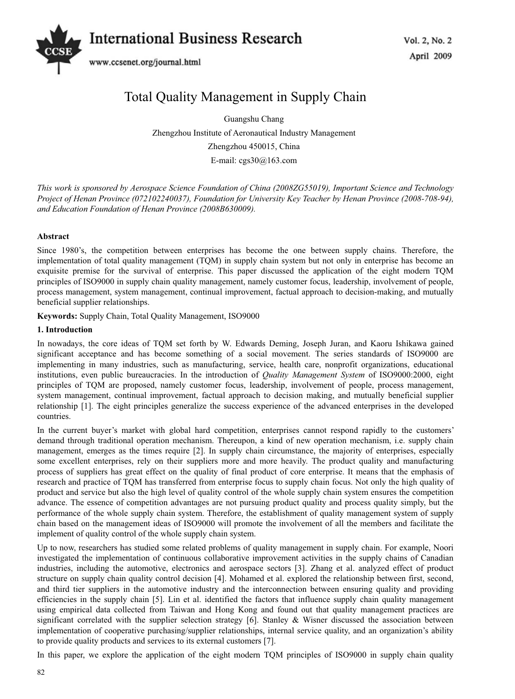

# Total Quality Management in Supply Chain

Guangshu Chang Zhengzhou Institute of Aeronautical Industry Management Zhengzhou 450015, China E-mail: cgs30@163.com

*This work is sponsored by Aerospace Science Foundation of China (2008ZG55019), Important Science and Technology Project of Henan Province (072102240037), Foundation for University Key Teacher by Henan Province (2008-708-94), and Education Foundation of Henan Province (2008B630009).* 

# **Abstract**

Since 1980's, the competition between enterprises has become the one between supply chains. Therefore, the implementation of total quality management (TQM) in supply chain system but not only in enterprise has become an exquisite premise for the survival of enterprise. This paper discussed the application of the eight modern TQM principles of ISO9000 in supply chain quality management, namely customer focus, leadership, involvement of people, process management, system management, continual improvement, factual approach to decision-making, and mutually beneficial supplier relationships.

**Keywords:** Supply Chain, Total Quality Management, ISO9000

#### **1. Introduction**

In nowadays, the core ideas of TQM set forth by W. Edwards Deming, Joseph Juran, and Kaoru Ishikawa gained significant acceptance and has become something of a social movement. The series standards of ISO9000 are implementing in many industries, such as manufacturing, service, health care, nonprofit organizations, educational institutions, even public bureaucracies. In the introduction of *Quality Management System* of ISO9000:2000, eight principles of TQM are proposed, namely customer focus, leadership, involvement of people, process management, system management, continual improvement, factual approach to decision making, and mutually beneficial supplier relationship [1]. The eight principles generalize the success experience of the advanced enterprises in the developed countries.

In the current buyer's market with global hard competition, enterprises cannot respond rapidly to the customers' demand through traditional operation mechanism. Thereupon, a kind of new operation mechanism, i.e. supply chain management, emerges as the times require [2]. In supply chain circumstance, the majority of enterprises, especially some excellent enterprises, rely on their suppliers more and more heavily. The product quality and manufacturing process of suppliers has great effect on the quality of final product of core enterprise. It means that the emphasis of research and practice of TQM has transferred from enterprise focus to supply chain focus. Not only the high quality of product and service but also the high level of quality control of the whole supply chain system ensures the competition advance. The essence of competition advantages are not pursuing product quality and process quality simply, but the performance of the whole supply chain system. Therefore, the establishment of quality management system of supply chain based on the management ideas of ISO9000 will promote the involvement of all the members and facilitate the implement of quality control of the whole supply chain system.

Up to now, researchers has studied some related problems of quality management in supply chain. For example, Noori investigated the implementation of continuous collaborative improvement activities in the supply chains of Canadian industries, including the automotive, electronics and aerospace sectors [3]. Zhang et al. analyzed effect of product structure on supply chain quality control decision [4]. Mohamed et al. explored the relationship between first, second, and third tier suppliers in the automotive industry and the interconnection between ensuring quality and providing efficiencies in the supply chain [5]. Lin et al. identified the factors that influence supply chain quality management using empirical data collected from Taiwan and Hong Kong and found out that quality management practices are significant correlated with the supplier selection strategy [6]. Stanley & Wisner discussed the association between implementation of cooperative purchasing/supplier relationships, internal service quality, and an organization's ability to provide quality products and services to its external customers [7].

In this paper, we explore the application of the eight modern TQM principles of ISO9000 in supply chain quality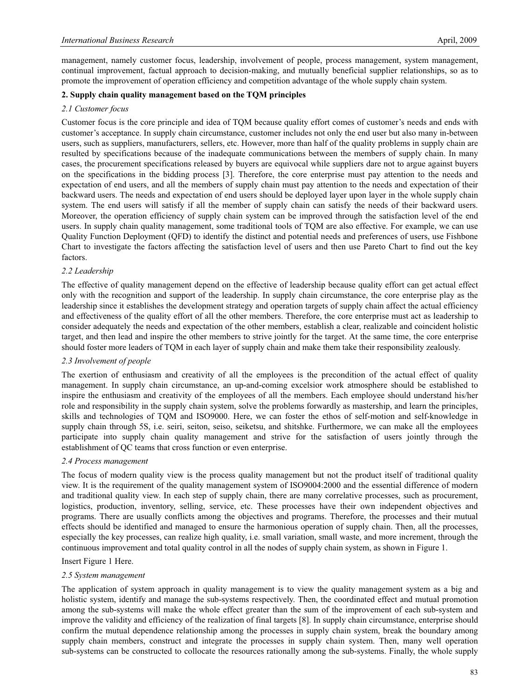management, namely customer focus, leadership, involvement of people, process management, system management, continual improvement, factual approach to decision-making, and mutually beneficial supplier relationships, so as to promote the improvement of operation efficiency and competition advantage of the whole supply chain system.

# **2. Supply chain quality management based on the TQM principles**

#### *2.1 Customer focus*

Customer focus is the core principle and idea of TQM because quality effort comes of customer's needs and ends with customer's acceptance. In supply chain circumstance, customer includes not only the end user but also many in-between users, such as suppliers, manufacturers, sellers, etc. However, more than half of the quality problems in supply chain are resulted by specifications because of the inadequate communications between the members of supply chain. In many cases, the procurement specifications released by buyers are equivocal while suppliers dare not to argue against buyers on the specifications in the bidding process [3]. Therefore, the core enterprise must pay attention to the needs and expectation of end users, and all the members of supply chain must pay attention to the needs and expectation of their backward users. The needs and expectation of end users should be deployed layer upon layer in the whole supply chain system. The end users will satisfy if all the member of supply chain can satisfy the needs of their backward users. Moreover, the operation efficiency of supply chain system can be improved through the satisfaction level of the end users. In supply chain quality management, some traditional tools of TQM are also effective. For example, we can use Quality Function Deployment (QFD) to identify the distinct and potential needs and preferences of users, use Fishbone Chart to investigate the factors affecting the satisfaction level of users and then use Pareto Chart to find out the key factors.

# *2.2 Leadership*

The effective of quality management depend on the effective of leadership because quality effort can get actual effect only with the recognition and support of the leadership. In supply chain circumstance, the core enterprise play as the leadership since it establishes the development strategy and operation targets of supply chain affect the actual efficiency and effectiveness of the quality effort of all the other members. Therefore, the core enterprise must act as leadership to consider adequately the needs and expectation of the other members, establish a clear, realizable and coincident holistic target, and then lead and inspire the other members to strive jointly for the target. At the same time, the core enterprise should foster more leaders of TQM in each layer of supply chain and make them take their responsibility zealously.

# *2.3 Involvement of people*

The exertion of enthusiasm and creativity of all the employees is the precondition of the actual effect of quality management. In supply chain circumstance, an up-and-coming excelsior work atmosphere should be established to inspire the enthusiasm and creativity of the employees of all the members. Each employee should understand his/her role and responsibility in the supply chain system, solve the problems forwardly as mastership, and learn the principles, skills and technologies of TQM and ISO9000. Here, we can foster the ethos of self-motion and self-knowledge in supply chain through 5S, i.e. seiri, seiton, seiso, seiketsu, and shitshke. Furthermore, we can make all the employees participate into supply chain quality management and strive for the satisfaction of users jointly through the establishment of QC teams that cross function or even enterprise.

#### *2.4 Process management*

The focus of modern quality view is the process quality management but not the product itself of traditional quality view. It is the requirement of the quality management system of ISO9004:2000 and the essential difference of modern and traditional quality view. In each step of supply chain, there are many correlative processes, such as procurement, logistics, production, inventory, selling, service, etc. These processes have their own independent objectives and programs. There are usually conflicts among the objectives and programs. Therefore, the processes and their mutual effects should be identified and managed to ensure the harmonious operation of supply chain. Then, all the processes, especially the key processes, can realize high quality, i.e. small variation, small waste, and more increment, through the continuous improvement and total quality control in all the nodes of supply chain system, as shown in Figure 1.

#### Insert Figure 1 Here.

#### *2.5 System management*

The application of system approach in quality management is to view the quality management system as a big and holistic system, identify and manage the sub-systems respectively. Then, the coordinated effect and mutual promotion among the sub-systems will make the whole effect greater than the sum of the improvement of each sub-system and improve the validity and efficiency of the realization of final targets [8]. In supply chain circumstance, enterprise should confirm the mutual dependence relationship among the processes in supply chain system, break the boundary among supply chain members, construct and integrate the processes in supply chain system. Then, many well operation sub-systems can be constructed to collocate the resources rationally among the sub-systems. Finally, the whole supply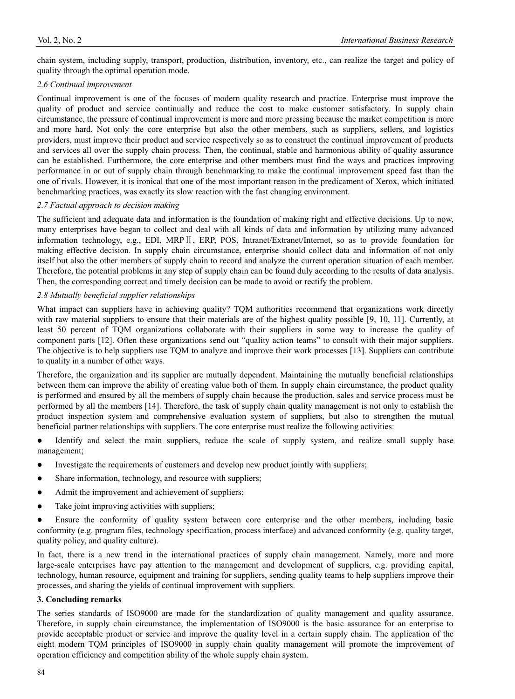chain system, including supply, transport, production, distribution, inventory, etc., can realize the target and policy of quality through the optimal operation mode.

#### *2.6 Continual improvement*

Continual improvement is one of the focuses of modern quality research and practice. Enterprise must improve the quality of product and service continually and reduce the cost to make customer satisfactory. In supply chain circumstance, the pressure of continual improvement is more and more pressing because the market competition is more and more hard. Not only the core enterprise but also the other members, such as suppliers, sellers, and logistics providers, must improve their product and service respectively so as to construct the continual improvement of products and services all over the supply chain process. Then, the continual, stable and harmonious ability of quality assurance can be established. Furthermore, the core enterprise and other members must find the ways and practices improving performance in or out of supply chain through benchmarking to make the continual improvement speed fast than the one of rivals. However, it is ironical that one of the most important reason in the predicament of Xerox, which initiated benchmarking practices, was exactly its slow reaction with the fast changing environment.

# *2.7 Factual approach to decision making*

The sufficient and adequate data and information is the foundation of making right and effective decisions. Up to now, many enterprises have began to collect and deal with all kinds of data and information by utilizing many advanced information technology, e.g., EDI, MRPII, ERP, POS, Intranet/Extranet/Internet, so as to provide foundation for making effective decision. In supply chain circumstance, enterprise should collect data and information of not only itself but also the other members of supply chain to record and analyze the current operation situation of each member. Therefore, the potential problems in any step of supply chain can be found duly according to the results of data analysis. Then, the corresponding correct and timely decision can be made to avoid or rectify the problem.

# *2.8 Mutually beneficial supplier relationships*

What impact can suppliers have in achieving quality? TQM authorities recommend that organizations work directly with raw material suppliers to ensure that their materials are of the highest quality possible [9, 10, 11]. Currently, at least 50 percent of TQM organizations collaborate with their suppliers in some way to increase the quality of component parts [12]. Often these organizations send out "quality action teams" to consult with their major suppliers. The objective is to help suppliers use TQM to analyze and improve their work processes [13]. Suppliers can contribute to quality in a number of other ways.

Therefore, the organization and its supplier are mutually dependent. Maintaining the mutually beneficial relationships between them can improve the ability of creating value both of them. In supply chain circumstance, the product quality is performed and ensured by all the members of supply chain because the production, sales and service process must be performed by all the members [14]. Therefore, the task of supply chain quality management is not only to establish the product inspection system and comprehensive evaluation system of suppliers, but also to strengthen the mutual beneficial partner relationships with suppliers. The core enterprise must realize the following activities:

- Identify and select the main suppliers, reduce the scale of supply system, and realize small supply base management;
- Investigate the requirements of customers and develop new product jointly with suppliers;
- Share information, technology, and resource with suppliers;
- Admit the improvement and achievement of suppliers;
- $\bullet$  Take joint improving activities with suppliers;

Ensure the conformity of quality system between core enterprise and the other members, including basic conformity (e.g. program files, technology specification, process interface) and advanced conformity (e.g. quality target, quality policy, and quality culture).

In fact, there is a new trend in the international practices of supply chain management. Namely, more and more large-scale enterprises have pay attention to the management and development of suppliers, e.g. providing capital, technology, human resource, equipment and training for suppliers, sending quality teams to help suppliers improve their processes, and sharing the yields of continual improvement with suppliers.

#### **3. Concluding remarks**

The series standards of ISO9000 are made for the standardization of quality management and quality assurance. Therefore, in supply chain circumstance, the implementation of ISO9000 is the basic assurance for an enterprise to provide acceptable product or service and improve the quality level in a certain supply chain. The application of the eight modern TQM principles of ISO9000 in supply chain quality management will promote the improvement of operation efficiency and competition ability of the whole supply chain system.